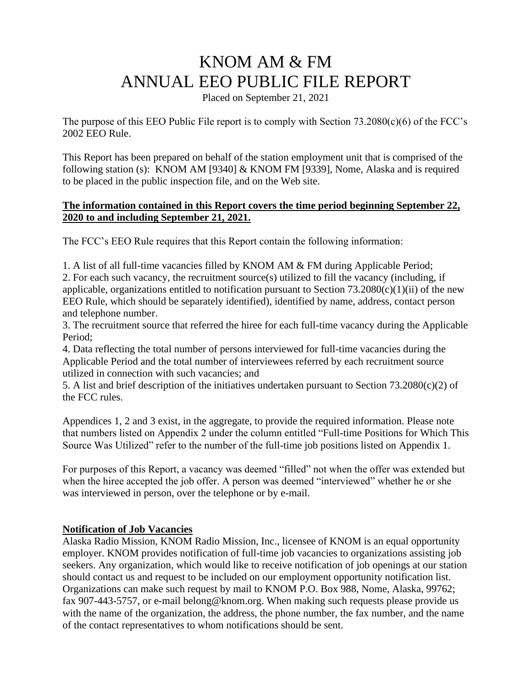# KNOM AM & FM ANNUAL EEO PUBLIC FILE REPORT

Placed on September 21, 2021

The purpose of this EEO Public File report is to comply with Section 73.2080(c)(6) of the FCC's 2002 EEO Rule.

This Report has been prepared on behalf of the station employment unit that is comprised of the following station (s): KNOM AM [9340] & KNOM FM [9339], Nome, Alaska and is required to be placed in the public inspection file, and on the Web site.

#### **The information contained in this Report covers the time period beginning September 22, 2020 to and including September 21, 2021.**

The FCC's EEO Rule requires that this Report contain the following information:

1. A list of all full-time vacancies filled by KNOM AM & FM during Applicable Period; 2. For each such vacancy, the recruitment source(s) utilized to fill the vacancy (including, if applicable, organizations entitled to notification pursuant to Section  $73.2080(c)(1)(ii)$  of the new EEO Rule, which should be separately identified), identified by name, address, contact person and telephone number.

3. The recruitment source that referred the hiree for each full-time vacancy during the Applicable Period;

4. Data reflecting the total number of persons interviewed for full-time vacancies during the Applicable Period and the total number of interviewees referred by each recruitment source utilized in connection with such vacancies; and

5. A list and brief description of the initiatives undertaken pursuant to Section 73.2080(c)(2) of the FCC rules.

Appendices 1, 2 and 3 exist, in the aggregate, to provide the required information. Please note that numbers listed on Appendix 2 under the column entitled "Full-time Positions for Which This Source Was Utilized" refer to the number of the full-time job positions listed on Appendix 1.

For purposes of this Report, a vacancy was deemed "filled" not when the offer was extended but when the hiree accepted the job offer. A person was deemed "interviewed" whether he or she was interviewed in person, over the telephone or by e-mail.

# **Notification of Job Vacancies**

Alaska Radio Mission, KNOM Radio Mission, Inc., licensee of KNOM is an equal opportunity employer. KNOM provides notification of full-time job vacancies to organizations assisting job seekers. Any organization, which would like to receive notification of job openings at our station should contact us and request to be included on our employment opportunity notification list. Organizations can make such request by mail to KNOM P.O. Box 988, Nome, Alaska, 99762; fax 907-443-5757, or e-mail belong@knom.org. When making such requests please provide us with the name of the organization, the address, the phone number, the fax number, and the name of the contact representatives to whom notifications should be sent.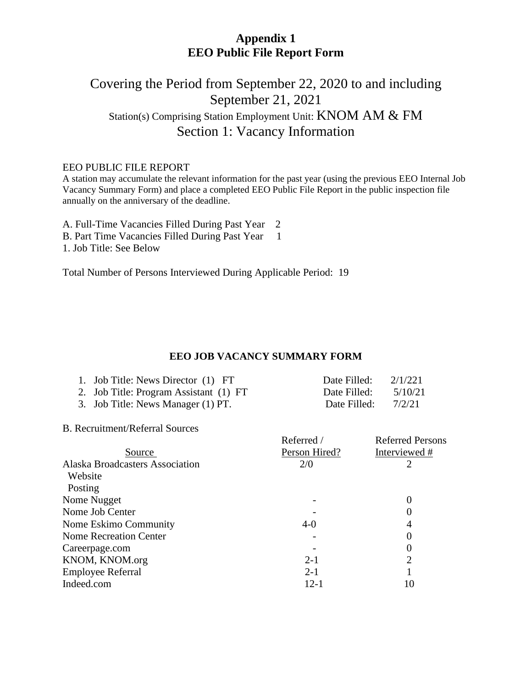# **Appendix 1 EEO Public File Report Form**

# Covering the Period from September 22, 2020 to and including September 21, 2021 Station(s) Comprising Station Employment Unit: KNOM AM & FM Section 1: Vacancy Information

#### EEO PUBLIC FILE REPORT

A station may accumulate the relevant information for the past year (using the previous EEO Internal Job Vacancy Summary Form) and place a completed EEO Public File Report in the public inspection file annually on the anniversary of the deadline.

A. Full-Time Vacancies Filled During Past Year 2 B. Part Time Vacancies Filled During Past Year 1 1. Job Title: See Below

Total Number of Persons Interviewed During Applicable Period: 19

#### **EEO JOB VACANCY SUMMARY FORM**

| 1. Job Title: News Director (1) FT     | Date Filled: | 2/1/221 |
|----------------------------------------|--------------|---------|
| 2. Job Title: Program Assistant (1) FT | Date Filled: | 5/10/21 |
| 3. Job Title: News Manager (1) PT.     | Date Filled: | 7/2/21  |

B. Recruitment/Referral Sources

|                                 | Referred /    | <b>Referred Persons</b> |
|---------------------------------|---------------|-------------------------|
| Source                          | Person Hired? | Interviewed #           |
| Alaska Broadcasters Association | 2/0           |                         |
| Website                         |               |                         |
| Posting                         |               |                         |
| Nome Nugget                     |               | 0                       |
| Nome Job Center                 |               | $\left( \right)$        |
| Nome Eskimo Community           | $4-0$         | 4                       |
| <b>Nome Recreation Center</b>   |               | $\left( \right)$        |
| Careerpage.com                  |               | $\theta$                |
| KNOM, KNOM.org                  | $2 - 1$       | 2                       |
| <b>Employee Referral</b>        | $2 - 1$       |                         |
| Indeed.com                      | $12 - 1$      | 10                      |
|                                 |               |                         |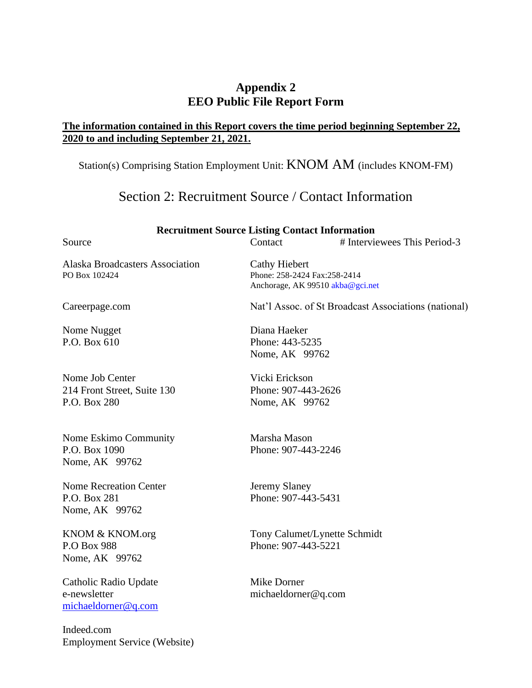# **Appendix 2 EEO Public File Report Form**

# **The information contained in this Report covers the time period beginning September 22, 2020 to and including September 21, 2021.**

Station(s) Comprising Station Employment Unit: KNOM AM (includes KNOM-FM)

# Section 2: Recruitment Source / Contact Information

| <b>Recruitment Source Listing Contact Information</b>           |                                                         |                                                      |  |
|-----------------------------------------------------------------|---------------------------------------------------------|------------------------------------------------------|--|
| Source                                                          | Contact                                                 | # Interviewees This Period-3                         |  |
| <b>Alaska Broadcasters Association</b><br>PO Box 102424         | <b>Cathy Hiebert</b><br>Phone: 258-2424 Fax:258-2414    | Anchorage, AK 99510 akba@gci.net                     |  |
| Careerpage.com                                                  |                                                         | Nat'l Assoc. of St Broadcast Associations (national) |  |
| Nome Nugget<br>P.O. Box 610                                     | Diana Haeker<br>Phone: 443-5235<br>Nome, AK 99762       |                                                      |  |
| Nome Job Center<br>214 Front Street, Suite 130<br>P.O. Box 280  | Vicki Erickson<br>Phone: 907-443-2626<br>Nome, AK 99762 |                                                      |  |
| Nome Eskimo Community<br>P.O. Box 1090<br>Nome, AK 99762        | Marsha Mason<br>Phone: 907-443-2246                     |                                                      |  |
| <b>Nome Recreation Center</b><br>P.O. Box 281<br>Nome, AK 99762 | Jeremy Slaney<br>Phone: 907-443-5431                    |                                                      |  |
| KNOM & KNOM.org<br>P.O Box 988<br>Nome, AK 99762                | Phone: 907-443-5221                                     | Tony Calumet/Lynette Schmidt                         |  |
| Catholic Radio Update<br>e-newsletter<br>michaeldorner@q.com    | Mike Dorner<br>michaeldorner@q.com                      |                                                      |  |
| Indeed.com<br><b>Employment Service (Website)</b>               |                                                         |                                                      |  |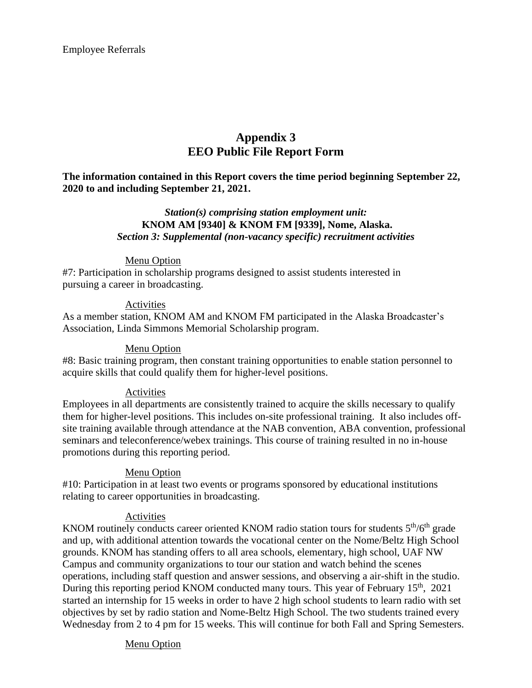Employee Referrals

# **Appendix 3 EEO Public File Report Form**

**The information contained in this Report covers the time period beginning September 22, 2020 to and including September 21, 2021.**

#### *Station(s) comprising station employment unit:* **KNOM AM [9340] & KNOM FM [9339], Nome, Alaska.** *Section 3: Supplemental (non-vacancy specific) recruitment activities*

#### Menu Option

#7: Participation in scholarship programs designed to assist students interested in pursuing a career in broadcasting.

#### Activities

As a member station, KNOM AM and KNOM FM participated in the Alaska Broadcaster's Association, Linda Simmons Memorial Scholarship program.

#### Menu Option

#8: Basic training program, then constant training opportunities to enable station personnel to acquire skills that could qualify them for higher-level positions.

#### Activities

Employees in all departments are consistently trained to acquire the skills necessary to qualify them for higher-level positions. This includes on-site professional training. It also includes offsite training available through attendance at the NAB convention, ABA convention, professional seminars and teleconference/webex trainings. This course of training resulted in no in-house promotions during this reporting period.

#### Menu Option

#10: Participation in at least two events or programs sponsored by educational institutions relating to career opportunities in broadcasting.

#### Activities

KNOM routinely conducts career oriented KNOM radio station tours for students  $5<sup>th</sup>/6<sup>th</sup>$  grade and up, with additional attention towards the vocational center on the Nome/Beltz High School grounds. KNOM has standing offers to all area schools, elementary, high school, UAF NW Campus and community organizations to tour our station and watch behind the scenes operations, including staff question and answer sessions, and observing a air-shift in the studio. During this reporting period KNOM conducted many tours. This year of February 15<sup>th</sup>, 2021 started an internship for 15 weeks in order to have 2 high school students to learn radio with set objectives by set by radio station and Nome-Beltz High School. The two students trained every Wednesday from 2 to 4 pm for 15 weeks. This will continue for both Fall and Spring Semesters.

#### Menu Option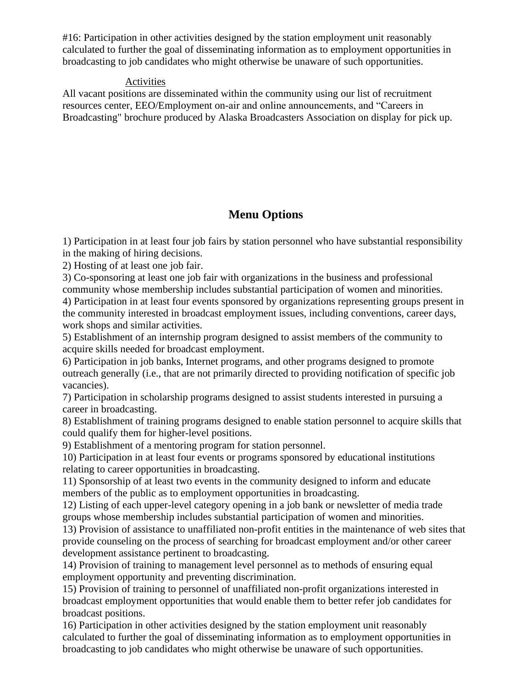#16: Participation in other activities designed by the station employment unit reasonably calculated to further the goal of disseminating information as to employment opportunities in broadcasting to job candidates who might otherwise be unaware of such opportunities.

#### Activities

All vacant positions are disseminated within the community using our list of recruitment resources center, EEO/Employment on-air and online announcements, and "Careers in Broadcasting" brochure produced by Alaska Broadcasters Association on display for pick up.

# **Menu Options**

1) Participation in at least four job fairs by station personnel who have substantial responsibility in the making of hiring decisions.

2) Hosting of at least one job fair.

3) Co-sponsoring at least one job fair with organizations in the business and professional community whose membership includes substantial participation of women and minorities.

4) Participation in at least four events sponsored by organizations representing groups present in the community interested in broadcast employment issues, including conventions, career days, work shops and similar activities.

5) Establishment of an internship program designed to assist members of the community to acquire skills needed for broadcast employment.

6) Participation in job banks, Internet programs, and other programs designed to promote outreach generally (i.e., that are not primarily directed to providing notification of specific job vacancies).

7) Participation in scholarship programs designed to assist students interested in pursuing a career in broadcasting.

8) Establishment of training programs designed to enable station personnel to acquire skills that could qualify them for higher-level positions.

9) Establishment of a mentoring program for station personnel.

10) Participation in at least four events or programs sponsored by educational institutions relating to career opportunities in broadcasting.

11) Sponsorship of at least two events in the community designed to inform and educate members of the public as to employment opportunities in broadcasting.

12) Listing of each upper-level category opening in a job bank or newsletter of media trade groups whose membership includes substantial participation of women and minorities.

13) Provision of assistance to unaffiliated non-profit entities in the maintenance of web sites that provide counseling on the process of searching for broadcast employment and/or other career development assistance pertinent to broadcasting.

14) Provision of training to management level personnel as to methods of ensuring equal employment opportunity and preventing discrimination.

15) Provision of training to personnel of unaffiliated non-profit organizations interested in broadcast employment opportunities that would enable them to better refer job candidates for broadcast positions.

16) Participation in other activities designed by the station employment unit reasonably calculated to further the goal of disseminating information as to employment opportunities in broadcasting to job candidates who might otherwise be unaware of such opportunities.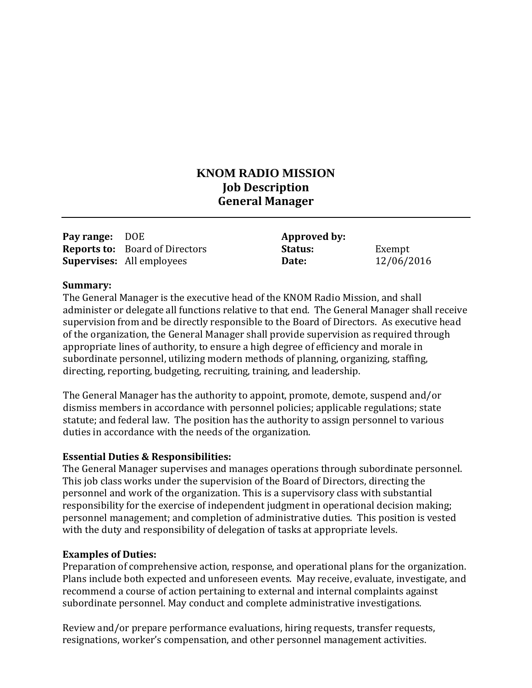# **KNOM RADIO MISSION Job Description General Manager**

| <b>Pay range: DOE</b> |                                       | Approved by:   |            |
|-----------------------|---------------------------------------|----------------|------------|
|                       | <b>Reports to:</b> Board of Directors | <b>Status:</b> | Exempt     |
|                       | <b>Supervises:</b> All employees      | Date:          | 12/06/2016 |

#### **Summary:**

The General Manager is the executive head of the KNOM Radio Mission, and shall administer or delegate all functions relative to that end. The General Manager shall receive supervision from and be directly responsible to the Board of Directors. As executive head of the organization, the General Manager shall provide supervision as required through appropriate lines of authority, to ensure a high degree of efficiency and morale in subordinate personnel, utilizing modern methods of planning, organizing, staffing, directing, reporting, budgeting, recruiting, training, and leadership.

The General Manager has the authority to appoint, promote, demote, suspend and/or dismiss members in accordance with personnel policies; applicable regulations; state statute; and federal law. The position has the authority to assign personnel to various duties in accordance with the needs of the organization.

#### **Essential Duties & Responsibilities:**

The General Manager supervises and manages operations through subordinate personnel. This job class works under the supervision of the Board of Directors, directing the personnel and work of the organization. This is a supervisory class with substantial responsibility for the exercise of independent judgment in operational decision making; personnel management; and completion of administrative duties. This position is vested with the duty and responsibility of delegation of tasks at appropriate levels.

#### **Examples of Duties:**

Preparation of comprehensive action, response, and operational plans for the organization. Plans include both expected and unforeseen events. May receive, evaluate, investigate, and recommend a course of action pertaining to external and internal complaints against subordinate personnel. May conduct and complete administrative investigations.

Review and/or prepare performance evaluations, hiring requests, transfer requests, resignations, worker's compensation, and other personnel management activities.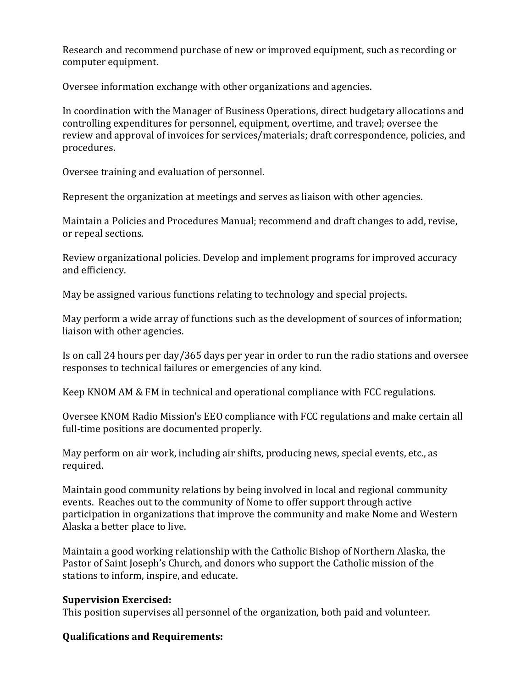Research and recommend purchase of new or improved equipment, such as recording or computer equipment.

Oversee information exchange with other organizations and agencies.

In coordination with the Manager of Business Operations, direct budgetary allocations and controlling expenditures for personnel, equipment, overtime, and travel; oversee the review and approval of invoices for services/materials; draft correspondence, policies, and procedures.

Oversee training and evaluation of personnel.

Represent the organization at meetings and serves as liaison with other agencies.

Maintain a Policies and Procedures Manual; recommend and draft changes to add, revise, or repeal sections.

Review organizational policies. Develop and implement programs for improved accuracy and efficiency.

May be assigned various functions relating to technology and special projects.

May perform a wide array of functions such as the development of sources of information; liaison with other agencies.

Is on call 24 hours per day/365 days per year in order to run the radio stations and oversee responses to technical failures or emergencies of any kind.

Keep KNOM AM & FM in technical and operational compliance with FCC regulations.

Oversee KNOM Radio Mission's EEO compliance with FCC regulations and make certain all full-time positions are documented properly.

May perform on air work, including air shifts, producing news, special events, etc., as required.

Maintain good community relations by being involved in local and regional community events. Reaches out to the community of Nome to offer support through active participation in organizations that improve the community and make Nome and Western Alaska a better place to live.

Maintain a good working relationship with the Catholic Bishop of Northern Alaska, the Pastor of Saint Joseph's Church, and donors who support the Catholic mission of the stations to inform, inspire, and educate.

# **Supervision Exercised:**

This position supervises all personnel of the organization, both paid and volunteer.

# **Qualifications and Requirements:**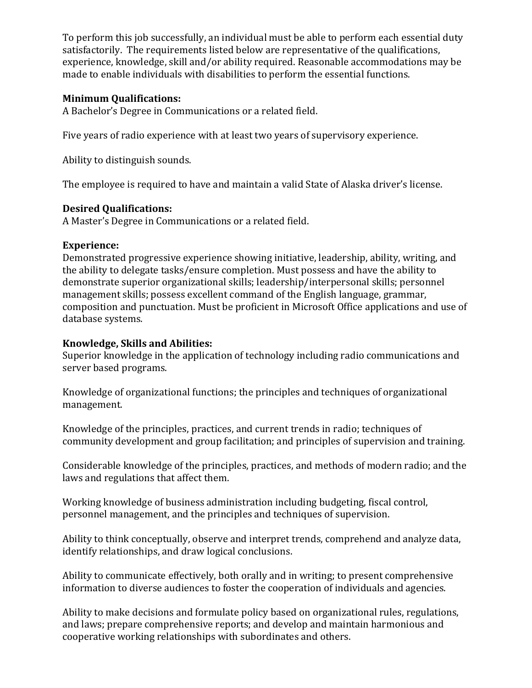To perform this job successfully, an individual must be able to perform each essential duty satisfactorily. The requirements listed below are representative of the qualifications, experience, knowledge, skill and/or ability required. Reasonable accommodations may be made to enable individuals with disabilities to perform the essential functions.

# **Minimum Qualifications:**

A Bachelor's Degree in Communications or a related field.

Five years of radio experience with at least two years of supervisory experience.

Ability to distinguish sounds.

The employee is required to have and maintain a valid State of Alaska driver's license.

# **Desired Qualifications:**

A Master's Degree in Communications or a related field.

# **Experience:**

Demonstrated progressive experience showing initiative, leadership, ability, writing, and the ability to delegate tasks/ensure completion. Must possess and have the ability to demonstrate superior organizational skills; leadership/interpersonal skills; personnel management skills; possess excellent command of the English language, grammar, composition and punctuation. Must be proficient in Microsoft Office applications and use of database systems.

# **Knowledge, Skills and Abilities:**

Superior knowledge in the application of technology including radio communications and server based programs.

Knowledge of organizational functions; the principles and techniques of organizational management.

Knowledge of the principles, practices, and current trends in radio; techniques of community development and group facilitation; and principles of supervision and training.

Considerable knowledge of the principles, practices, and methods of modern radio; and the laws and regulations that affect them.

Working knowledge of business administration including budgeting, fiscal control, personnel management, and the principles and techniques of supervision.

Ability to think conceptually, observe and interpret trends, comprehend and analyze data, identify relationships, and draw logical conclusions.

Ability to communicate effectively, both orally and in writing; to present comprehensive information to diverse audiences to foster the cooperation of individuals and agencies.

Ability to make decisions and formulate policy based on organizational rules, regulations, and laws; prepare comprehensive reports; and develop and maintain harmonious and cooperative working relationships with subordinates and others.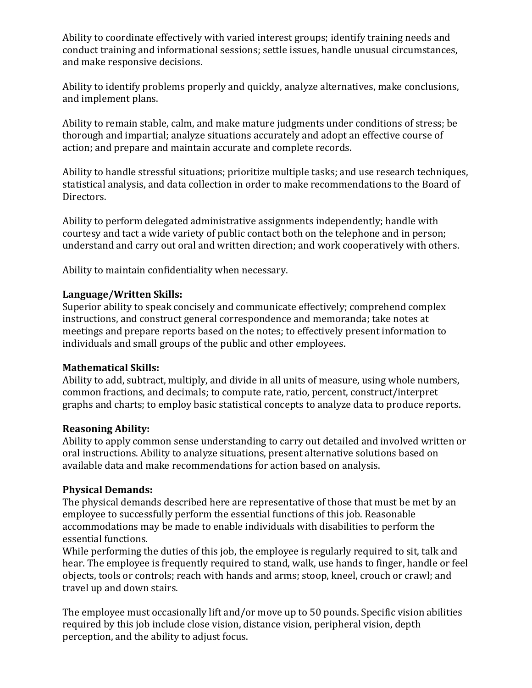Ability to coordinate effectively with varied interest groups; identify training needs and conduct training and informational sessions; settle issues, handle unusual circumstances, and make responsive decisions.

Ability to identify problems properly and quickly, analyze alternatives, make conclusions, and implement plans.

Ability to remain stable, calm, and make mature judgments under conditions of stress; be thorough and impartial; analyze situations accurately and adopt an effective course of action; and prepare and maintain accurate and complete records.

Ability to handle stressful situations; prioritize multiple tasks; and use research techniques, statistical analysis, and data collection in order to make recommendations to the Board of Directors.

Ability to perform delegated administrative assignments independently; handle with courtesy and tact a wide variety of public contact both on the telephone and in person; understand and carry out oral and written direction; and work cooperatively with others.

Ability to maintain confidentiality when necessary.

# **Language/Written Skills:**

Superior ability to speak concisely and communicate effectively; comprehend complex instructions, and construct general correspondence and memoranda; take notes at meetings and prepare reports based on the notes; to effectively present information to individuals and small groups of the public and other employees.

# **Mathematical Skills:**

Ability to add, subtract, multiply, and divide in all units of measure, using whole numbers, common fractions, and decimals; to compute rate, ratio, percent, construct/interpret graphs and charts; to employ basic statistical concepts to analyze data to produce reports.

# **Reasoning Ability:**

Ability to apply common sense understanding to carry out detailed and involved written or oral instructions. Ability to analyze situations, present alternative solutions based on available data and make recommendations for action based on analysis.

# **Physical Demands:**

The physical demands described here are representative of those that must be met by an employee to successfully perform the essential functions of this job. Reasonable accommodations may be made to enable individuals with disabilities to perform the essential functions.

While performing the duties of this job, the employee is regularly required to sit, talk and hear. The employee is frequently required to stand, walk, use hands to finger, handle or feel objects, tools or controls; reach with hands and arms; stoop, kneel, crouch or crawl; and travel up and down stairs.

The employee must occasionally lift and/or move up to 50 pounds. Specific vision abilities required by this job include close vision, distance vision, peripheral vision, depth perception, and the ability to adjust focus.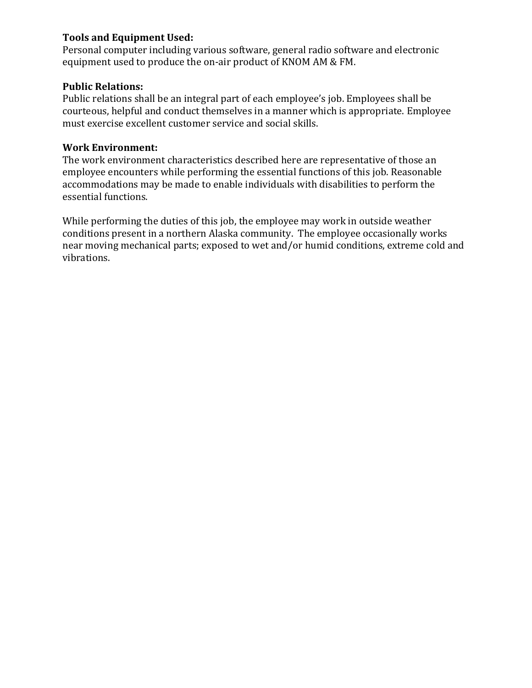# **Tools and Equipment Used:**

Personal computer including various software, general radio software and electronic equipment used to produce the on-air product of KNOM AM & FM.

# **Public Relations:**

Public relations shall be an integral part of each employee's job. Employees shall be courteous, helpful and conduct themselves in a manner which is appropriate. Employee must exercise excellent customer service and social skills.

# **Work Environment:**

The work environment characteristics described here are representative of those an employee encounters while performing the essential functions of this job. Reasonable accommodations may be made to enable individuals with disabilities to perform the essential functions.

While performing the duties of this job, the employee may work in outside weather conditions present in a northern Alaska community. The employee occasionally works near moving mechanical parts; exposed to wet and/or humid conditions, extreme cold and vibrations.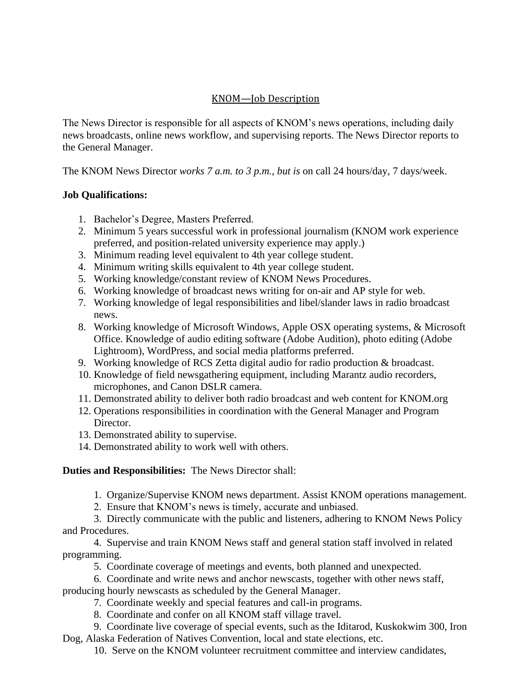# KNOM—Job Description

The News Director is responsible for all aspects of KNOM's news operations, including daily news broadcasts, online news workflow, and supervising reports. The News Director reports to the General Manager.

The KNOM News Director *works 7 a.m. to 3 p.m., but is* on call 24 hours/day, 7 days/week.

# **Job Qualifications:**

- 1. Bachelor's Degree, Masters Preferred.
- 2. Minimum 5 years successful work in professional journalism (KNOM work experience preferred, and position-related university experience may apply.)
- 3. Minimum reading level equivalent to 4th year college student.
- 4. Minimum writing skills equivalent to 4th year college student.
- 5. Working knowledge/constant review of KNOM News Procedures.
- 6. Working knowledge of broadcast news writing for on-air and AP style for web.
- 7. Working knowledge of legal responsibilities and libel/slander laws in radio broadcast news.
- 8. Working knowledge of Microsoft Windows, Apple OSX operating systems, & Microsoft Office. Knowledge of audio editing software (Adobe Audition), photo editing (Adobe Lightroom), WordPress, and social media platforms preferred.
- 9. Working knowledge of RCS Zetta digital audio for radio production & broadcast.
- 10. Knowledge of field newsgathering equipment, including Marantz audio recorders, microphones, and Canon DSLR camera.
- 11. Demonstrated ability to deliver both radio broadcast and web content for KNOM.org
- 12. Operations responsibilities in coordination with the General Manager and Program Director
- 13. Demonstrated ability to supervise.
- 14. Demonstrated ability to work well with others.

# **Duties and Responsibilities:** The News Director shall:

- 1. Organize/Supervise KNOM news department. Assist KNOM operations management.
- 2. Ensure that KNOM's news is timely, accurate and unbiased.
- 3. Directly communicate with the public and listeners, adhering to KNOM News Policy and Procedures.
- 4. Supervise and train KNOM News staff and general station staff involved in related programming.
	- 5. Coordinate coverage of meetings and events, both planned and unexpected.
	- 6. Coordinate and write news and anchor newscasts, together with other news staff,

producing hourly newscasts as scheduled by the General Manager.

- 7. Coordinate weekly and special features and call-in programs.
- 8. Coordinate and confer on all KNOM staff village travel.
- 9. Coordinate live coverage of special events, such as the Iditarod, Kuskokwim 300, Iron Dog, Alaska Federation of Natives Convention, local and state elections, etc.
	- 10. Serve on the KNOM volunteer recruitment committee and interview candidates,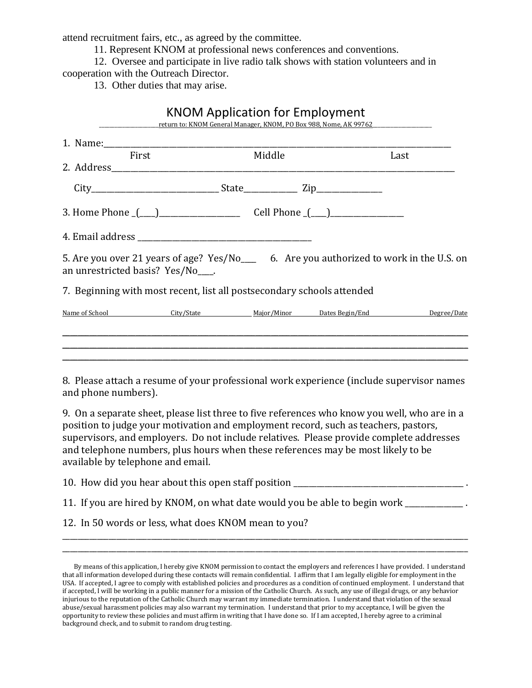attend recruitment fairs, etc., as agreed by the committee.

11. Represent KNOM at professional news conferences and conventions.

12. Oversee and participate in live radio talk shows with station volunteers and in cooperation with the Outreach Director.

13. Other duties that may arise.

|                                                                                                                                  | <b>KNOM Application for Employment</b><br>return to: KNOM General Manager, KNOM, PO Box 988, Nome, AK 99762 |        |      |
|----------------------------------------------------------------------------------------------------------------------------------|-------------------------------------------------------------------------------------------------------------|--------|------|
| 1. Name: 1. 2008. 2008. 2010. 2010. 2010. 2010. 2010. 2010. 2010. 2010. 2010. 2010. 2010. 2010. 2010. 2010. 20                   |                                                                                                             |        |      |
| <b>First</b>                                                                                                                     |                                                                                                             | Middle | Last |
|                                                                                                                                  |                                                                                                             |        |      |
| 3. Home Phone <u>( ) cell</u> Phone <u>( )</u>                                                                                   |                                                                                                             |        |      |
|                                                                                                                                  |                                                                                                             |        |      |
| 5. Are you over 21 years of age? Yes/No______ 6. Are you authorized to work in the U.S. on<br>an unrestricted basis? Yes/No____. |                                                                                                             |        |      |
| 7. Beginning with most recent, list all postsecondary schools attended                                                           |                                                                                                             |        |      |
| Name of School City/State Major/Minor Dates Begin/End Degree/Date                                                                |                                                                                                             |        |      |
|                                                                                                                                  |                                                                                                             |        |      |
| 8. Please attach a resume of your professional work experience (include supervisor names                                         |                                                                                                             |        |      |

and phone numbers).

9. On a separate sheet, please list three to five references who know you well, who are in a position to judge your motivation and employment record, such as teachers, pastors, supervisors, and employers. Do not include relatives. Please provide complete addresses and telephone numbers, plus hours when these references may be most likely to be available by telephone and email.

10. How did you hear about this open staff position \_\_\_\_\_\_\_\_\_\_\_\_\_\_\_\_\_\_\_\_\_\_\_\_\_\_\_\_\_\_\_\_\_\_\_\_\_\_\_\_\_\_\_\_ .

- 11. If you are hired by KNOM, on what date would you be able to begin work
- 12. In 50 words or less, what does KNOM mean to you?

\_\_\_\_\_\_\_\_\_\_\_\_\_\_\_\_\_\_\_\_\_\_\_\_\_\_\_\_\_\_\_\_\_\_\_\_\_\_\_\_\_\_\_\_\_\_\_\_\_\_\_\_\_\_\_\_\_\_\_\_\_\_\_\_\_\_\_\_\_\_\_\_\_\_\_\_\_\_\_\_\_\_\_\_\_\_\_\_\_\_\_\_\_\_\_\_\_\_\_\_\_\_\_\_\_ \_\_\_\_\_\_\_\_\_\_\_\_\_\_\_\_\_\_\_\_\_\_\_\_\_\_\_\_\_\_\_\_\_\_\_\_\_\_\_\_\_\_\_\_\_\_\_\_\_\_\_\_\_\_\_\_\_\_\_\_\_\_\_\_\_\_\_\_\_\_\_\_\_\_\_\_\_\_\_\_\_\_\_\_\_\_\_\_\_\_\_\_\_\_\_\_\_\_\_\_\_\_\_\_\_

By means of this application, I hereby give KNOM permission to contact the employers and references I have provided. I understand that all information developed during these contacts will remain confidential. I affirm that I am legally eligible for employment in the USA. If accepted, I agree to comply with established policies and procedures as a condition of continued employment. I understand that if accepted, I will be working in a public manner for a mission of the Catholic Church. As such, any use of illegal drugs, or any behavior injurious to the reputation of the Catholic Church may warrant my immediate termination. I understand that violation of the sexual abuse/sexual harassment policies may also warrant my termination. I understand that prior to my acceptance, I will be given the opportunity to review these policies and must affirm in writing that I have done so. If I am accepted, I hereby agree to a criminal background check, and to submit to random drug testing.